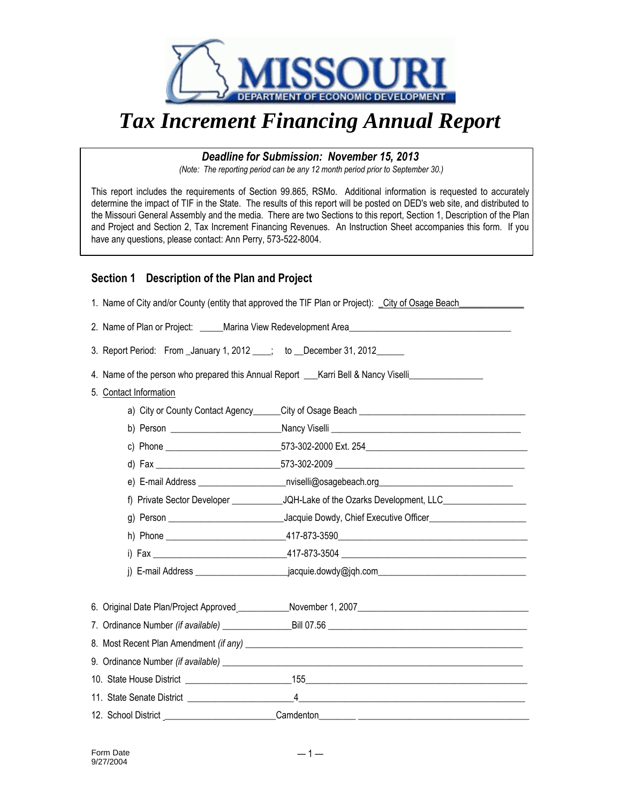

## *Tax Increment Financing Annual Report*

## *Deadline for Submission: November 15, 2013*

*(Note: The reporting period can be any 12 month period prior to September 30.)*

This report includes the requirements of Section 99.865, RSMo. Additional information is requested to accurately determine the impact of TIF in the State. The results of this report will be posted on DED's web site, and distributed to the Missouri General Assembly and the media. There are two Sections to this report, Section 1, Description of the Plan and Project and Section 2, Tax Increment Financing Revenues. An Instruction Sheet accompanies this form. If you have any questions, please contact: Ann Perry, 573-522-8004.

## **Section 1 Description of the Plan and Project**

|                                                                           | 1. Name of City and/or County (entity that approved the TIF Plan or Project): City of Osage Beach              |  |  |
|---------------------------------------------------------------------------|----------------------------------------------------------------------------------------------------------------|--|--|
|                                                                           |                                                                                                                |  |  |
| 3. Report Period: From _January 1, 2012 ___; to __December 31, 2012 _____ |                                                                                                                |  |  |
|                                                                           | 4. Name of the person who prepared this Annual Report ___ Karri Bell & Nancy Viselli                           |  |  |
| 5. Contact Information                                                    |                                                                                                                |  |  |
|                                                                           | a) City or County Contact Agency City of Osage Beach                                                           |  |  |
|                                                                           |                                                                                                                |  |  |
|                                                                           |                                                                                                                |  |  |
|                                                                           |                                                                                                                |  |  |
|                                                                           |                                                                                                                |  |  |
|                                                                           |                                                                                                                |  |  |
|                                                                           | g) Person __________________________________Jacquie Dowdy, Chief Executive Officer____________________________ |  |  |
|                                                                           |                                                                                                                |  |  |
|                                                                           |                                                                                                                |  |  |
|                                                                           |                                                                                                                |  |  |
|                                                                           |                                                                                                                |  |  |
|                                                                           |                                                                                                                |  |  |
|                                                                           |                                                                                                                |  |  |
|                                                                           |                                                                                                                |  |  |
|                                                                           |                                                                                                                |  |  |
|                                                                           |                                                                                                                |  |  |
|                                                                           | 12. School District _________________________Camdenton__________________________                               |  |  |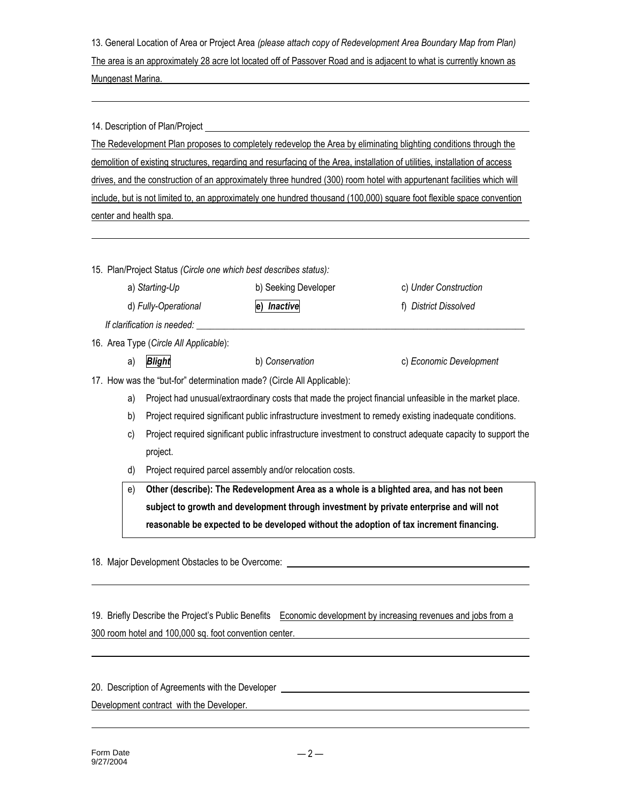13. General Location of Area or Project Area *(please attach copy of Redevelopment Area Boundary Map from Plan)* The area is an approximately 28 acre lot located off of Passover Road and is adjacent to what is currently known as Mungenast Marina.

14. Description of Plan/Project

The Redevelopment Plan proposes to completely redevelop the Area by eliminating blighting conditions through the demolition of existing structures, regarding and resurfacing of the Area, installation of utilities, installation of access drives, and the construction of an approximately three hundred (300) room hotel with appurtenant facilities which will include, but is not limited to, an approximately one hundred thousand (100,000) square foot flexible space convention center and health spa.

15. Plan/Project Status *(Circle one which best describes status):*

| a) Starting-Up                         | b) Seeking Developer | c) Under Construction |
|----------------------------------------|----------------------|-----------------------|
| d) Fully-Operational                   | e) Inactive          | f) District Dissolved |
| If clarification is needed:            |                      |                       |
| 16. Area Type (Circle All Applicable): |                      |                       |

a) *Blight* b) *Conservation* c) *Economic Development*

17. How was the "but-for" determination made? (Circle All Applicable):

- a) Project had unusual/extraordinary costs that made the project financial unfeasible in the market place.
- b) Project required significant public infrastructure investment to remedy existing inadequate conditions.
- c) Project required significant public infrastructure investment to construct adequate capacity to support the project.
- d) Project required parcel assembly and/or relocation costs.

e) **Other (describe): The Redevelopment Area as a whole is a blighted area, and has not been subject to growth and development through investment by private enterprise and will not reasonable be expected to be developed without the adoption of tax increment financing.**

18. Major Development Obstacles to be Overcome:

19. Briefly Describe the Project's Public Benefits Economic development by increasing revenues and jobs from a 300 room hotel and 100,000 sq. foot convention center.

| 20. Description of Agreements with the Developer |  |
|--------------------------------------------------|--|
| Development contract with the Developer.         |  |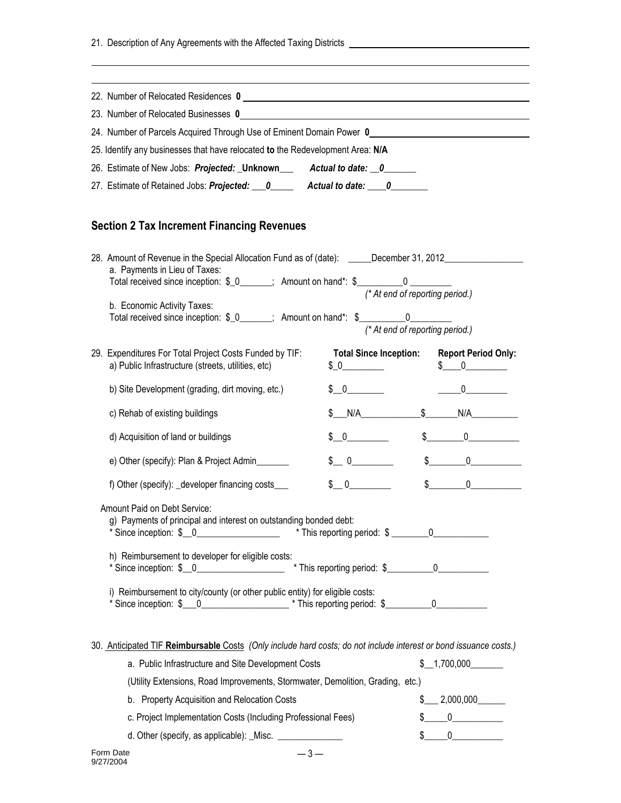21. Description of Any Agreements with the Affected Taxing Districts

| 22. Number of Relocated Residences 0                                                                                                                                                                                        | <u> 1989 - Johann Stein, fransk politik (d. 1989)</u> |                                 |                                                                                          |
|-----------------------------------------------------------------------------------------------------------------------------------------------------------------------------------------------------------------------------|-------------------------------------------------------|---------------------------------|------------------------------------------------------------------------------------------|
| 23. Number of Relocated Businesses 0                                                                                                                                                                                        |                                                       |                                 |                                                                                          |
| 24. Number of Parcels Acquired Through Use of Eminent Domain Power 0________________________________                                                                                                                        |                                                       |                                 |                                                                                          |
| 25. Identify any businesses that have relocated to the Redevelopment Area: N/A                                                                                                                                              |                                                       |                                 |                                                                                          |
| 26. Estimate of New Jobs: Projected: Unknown Actual to date: 0                                                                                                                                                              |                                                       |                                 |                                                                                          |
| 27. Estimate of Retained Jobs: Projected: 0______ Actual to date: 0_____                                                                                                                                                    |                                                       |                                 |                                                                                          |
| <b>Section 2 Tax Increment Financing Revenues</b>                                                                                                                                                                           |                                                       |                                 |                                                                                          |
| 28. Amount of Revenue in the Special Allocation Fund as of (date): _____December 31, 2012__________<br>a. Payments in Lieu of Taxes:<br>Total received since inception: \$_0______; Amount on hand*: \$__________0 ________ |                                                       | (* At end of reporting period.) |                                                                                          |
| b. Economic Activity Taxes:<br>Total received since inception: \$_0______; Amount on hand*: \$__________0________                                                                                                           |                                                       | (* At end of reporting period.) |                                                                                          |
| 29. Expenditures For Total Project Costs Funded by TIF:<br>a) Public Infrastructure (streets, utilities, etc)                                                                                                               | $$0$ $$$                                              |                                 | <b>Total Since Inception: Report Period Only:</b><br>$\begin{matrix} 5 & 0 \end{matrix}$ |
| b) Site Development (grading, dirt moving, etc.)                                                                                                                                                                            | $\begin{matrix} 5 & 0 \end{matrix}$                   |                                 | $0 \qquad \qquad$                                                                        |
| c) Rehab of existing buildings                                                                                                                                                                                              | \$N/A                                                 | $\frac{1}{2}$                   | N/A                                                                                      |
| d) Acquisition of land or buildings                                                                                                                                                                                         | $$0$ $$$                                              | $\frac{1}{2}$                   | $0 \qquad \qquad$                                                                        |
| e) Other (specify): Plan & Project Admin                                                                                                                                                                                    | $\begin{matrix} 1 & 0 \\ 0 & 1 \end{matrix}$          |                                 | $\sim$<br>$\overline{0}$                                                                 |
| f) Other (specify): _developer financing costs___                                                                                                                                                                           | $\frac{1}{2}$ 0                                       |                                 | $\mathbb{S}$<br>$\overline{0}$                                                           |
| Amount Paid on Debt Service:<br>g) Payments of principal and interest on outstanding bonded debt:<br>* Since inception: \$ _0 _______________ * This reporting period: \$ ______0 _________                                 |                                                       |                                 |                                                                                          |
| h) Reimbursement to developer for eligible costs:                                                                                                                                                                           |                                                       |                                 |                                                                                          |
| i) Reimbursement to city/county (or other public entity) for eligible costs:                                                                                                                                                |                                                       |                                 |                                                                                          |
| 30. Anticipated TIF Reimbursable Costs (Only include hard costs; do not include interest or bond issuance costs.)                                                                                                           | a. Public Infrastructure and Site Development Costs   |                                 | \$1,700,000                                                                              |

| (Utility Extensions, Road Improvements, Stormwater, Demolition, Grading, etc.) |              |
|--------------------------------------------------------------------------------|--------------|
| b. Property Acquisition and Relocation Costs                                   | \$ 2,000,000 |
| c. Project Implementation Costs (Including Professional Fees)                  | \$ 0         |
|                                                                                |              |